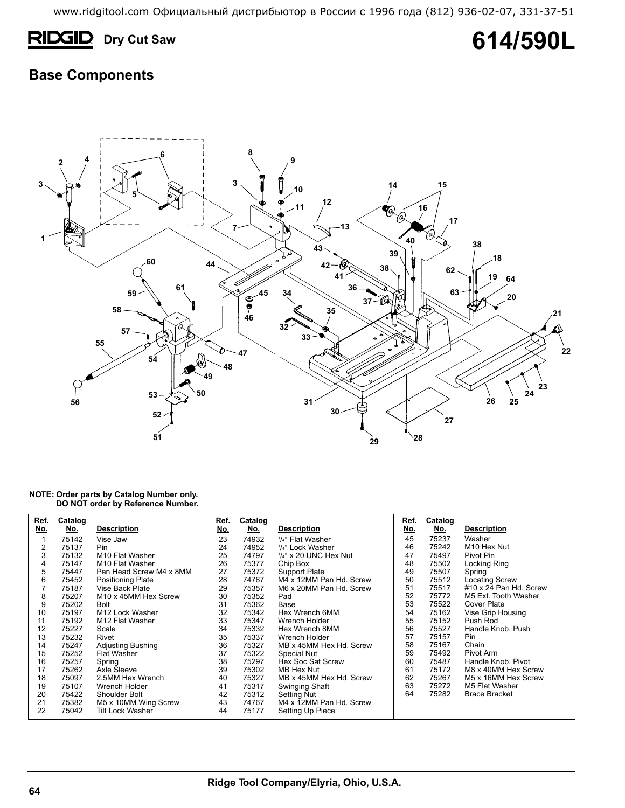# **RIDGID** Dry Cut Saw **614/590L**

### **Base Components**



### **NOTE: Order parts by Catalog Number only. DO NOT order by Reference Number.**

| Ref.       | Catalog    |                             | Ref.       | Catalog    |                          | Ref.       | Catalog    |                         |
|------------|------------|-----------------------------|------------|------------|--------------------------|------------|------------|-------------------------|
| <u>No.</u> | <u>No.</u> | <b>Description</b>          | <u>No.</u> | <u>No.</u> | <b>Description</b>       | <u>No.</u> | <u>No.</u> | <b>Description</b>      |
|            | 75142      | Vise Jaw                    | 23         | 74932      | 1/4" Flat Washer         | 45         | 75237      | Washer                  |
| 2          | 75137      | Pin                         | 24         | 74952      | 1/4" Lock Washer         | 46         | 75242      | M <sub>10</sub> Hex Nut |
| 3          | 75132      | M <sub>10</sub> Flat Washer | 25         | 74797      | $1/4''$ x 20 UNC Hex Nut | 47         | 75497      | Pivot Pin               |
| 4          | 75147      | M <sub>10</sub> Flat Washer | 26         | 75377      | Chip Box                 | 48         | 75502      | Locking Ring            |
| 5          | 75447      | Pan Head Screw M4 x 8MM     | 27         | 75372      | Support Plate            | 49         | 75507      | Spring                  |
| 6          | 75452      | <b>Positioning Plate</b>    | 28         | 74767      | M4 x 12MM Pan Hd. Screw  | 50         | 75512      | <b>Locating Screw</b>   |
|            | 75187      | Vise Back Plate             | 29         | 75357      | M6 x 20MM Pan Hd. Screw  | 51         | 75517      | #10 x 24 Pan Hd. Screw  |
| 8          | 75207      | M10 x 45MM Hex Screw        | 30         | 75352      | Pad                      | 52         | 75772      | M5 Ext. Tooth Washer    |
| 9          | 75202      | Bolt                        | 31         | 75362      | Base                     | 53         | 75522      | Cover Plate             |
| 10         | 75197      | M12 Lock Washer             | 32         | 75342      | Hex Wrench 6MM           | 54         | 75162      | Vise Grip Housing       |
| 11         | 75192      | M12 Flat Washer             | 33         | 75347      | Wrench Holder            | 55         | 75152      | Push Rod                |
| 12         | 75227      | Scale                       | 34         | 75332      | Hex Wrench 8MM           | 56         | 75527      | Handle Knob, Push       |
| 13         | 75232      | Rivet                       | 35         | 75337      | Wrench Holder            | 57         | 75157      | Pin                     |
| 14         | 75247      | <b>Adjusting Bushing</b>    | 36         | 75327      | MB x 45MM Hex Hd. Screw  | 58         | 75167      | Chain                   |
| 15         | 75252      | Flat Washer                 | 37         | 75322      | Special Nut              | 59         | 75492      | Pivot Arm               |
| 16         | 75257      | Spring                      | 38         | 75297      | Hex Soc Sat Screw        | 60         | 75487      | Handle Knob, Pivot      |
| 17         | 75262      | Axle Sleeve                 | 39         | 75302      | MB Hex Nut               | 61         | 75172      | M8 x 40MM Hex Screw     |
| 18         | 75097      | 2.5MM Hex Wrench            | 40         | 75327      | MB x 45MM Hex Hd. Screw  | 62         | 75267      | M5 x 16MM Hex Screw     |
| 19         | 75107      | Wrench Holder               | 41         | 75317      | Swinging Shaft           | 63         | 75272      | M5 Flat Washer          |
| 20         | 75422      | Shoulder Bolt               | 42         | 75312      | Setting Nut              | 64         | 75282      | <b>Brace Bracket</b>    |
| 21         | 75382      | M5 x 10MM Wing Screw        | 43         | 74767      | M4 x 12MM Pan Hd. Screw  |            |            |                         |
| 22         | 75042      | Tilt Lock Washer            | 44         | 75177      | Setting Up Piece         |            |            |                         |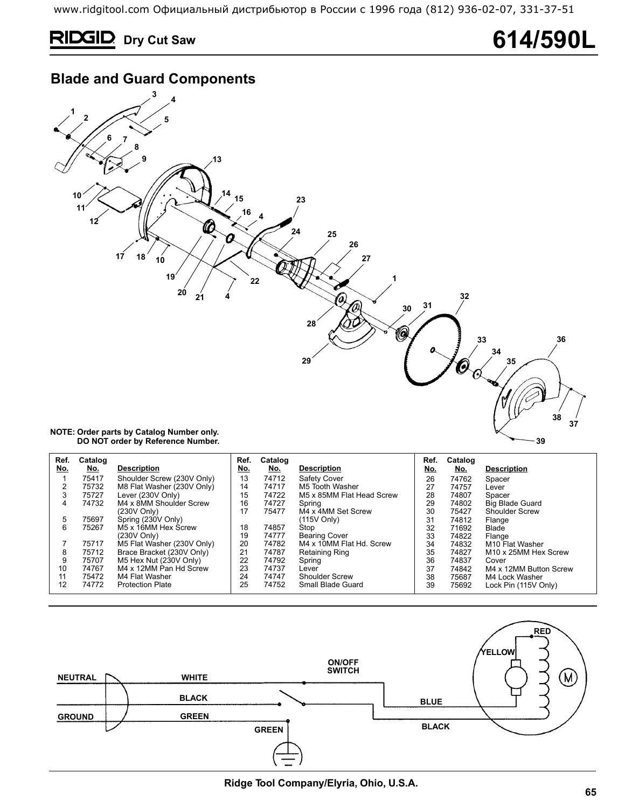# **RIDGID** Dry Cut Saw 614/590L

## **Blade and Guard Components**



| Ref.<br>No. | Catalog<br><u>No.</u> | <b>Description</b>         | Ref.<br>No. | Catalog<br>No. | <b>Description</b>        | Ref.<br>No. | Catalog<br>No. | <b>Description</b>               |
|-------------|-----------------------|----------------------------|-------------|----------------|---------------------------|-------------|----------------|----------------------------------|
|             | 75417                 | Shoulder Screw (230V Only) | 13          | 74712          | Safety Cover              | 26          | 74762          | Spacer                           |
|             | 75732                 | M8 Flat Washer (230V Only) | 14          | 74717          | M5 Tooth Washer           | 27          | 74757          | Lever                            |
| 3           | 75727                 | Lever (230V Only)          | 15          | 74722          | M5 x 85MM Flat Head Screw | 28          | 74807          | Spacer                           |
| 4           | 74732                 | M4 x 8MM Shoulder Screw    | 16          | 74727          | Spring                    | 29          | 74802          | <b>Big Blade Guard</b>           |
|             |                       | (230V Only)                | 17          | 75477          | M4 x 4MM Set Screw        | 30          | 75427          | Shoulder Screw                   |
| 5           | 75697                 | Spring (230V Only)         |             |                | (115V Only)               | 31          | 74812          | Flange                           |
| 6           | 75267                 | M5 x 16MM Hex Screw        | 18          | 74857          | Stop                      | 32          | 71692          | Blade                            |
|             |                       | (230V Only)                | 19          | 74777          | <b>Bearing Cover</b>      | 33          | 74822          | Flange                           |
|             | 75717                 | M5 Flat Washer (230V Only) | 20          | 74782          | M4 x 10MM Flat Hd. Screw  | 34          | 74832          | M <sub>10</sub> Flat Washer      |
| 8           | 75712                 | Brace Bracket (230V Only)  | 21          | 74787          | <b>Retaining Ring</b>     | 35          | 74827          | M <sub>10</sub> x 25MM Hex Screw |
| 9           | 75707                 | M5 Hex Nut (230V Only)     | 22          | 74792          | Spring                    | 36          | 74837          | Cover                            |
| 10          | 74767                 | M4 x 12MM Pan Hd Screw     | 23          | 74737          | Lever                     | 37          | 74842          | M4 x 12MM Button Screw           |
| 11          | 75472                 | M4 Flat Washer             | 24          | 74747          | <b>Shoulder Screw</b>     | 38          | 75687          | M4 Lock Washer                   |
| $12 \,$     | 74772                 | <b>Protection Plate</b>    | 25          | 74752          | Small Blade Guard         | 39          | 75692          | Lock Pin (115V Only)             |